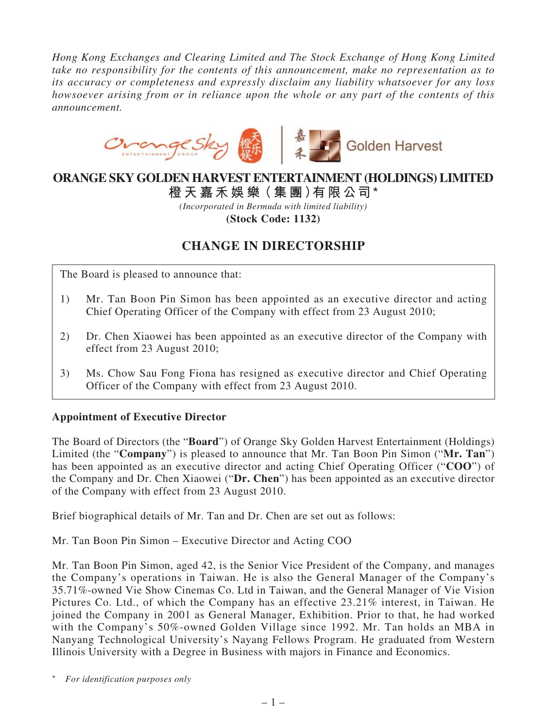*Hong Kong Exchanges and Clearing Limited and The Stock Exchange of Hong Kong Limited take no responsibility for the contents of this announcement, make no representation as to its accuracy or completeness and expressly disclaim any liability whatsoever for any loss howsoever arising from or in reliance upon the whole or any part of the contents of this announcement.*



# **ORANGE SKY GOLDEN HARVEST ENTERTAINMENT (HOLDINGS) LIMITED**

**橙 天 嘉禾娛 樂(集 團)有限公司\***

*(Incorporated in Bermuda with limited liability)*

**(Stock Code: 1132)**

# **CHANGE IN DIRECTORSHIP**

The Board is pleased to announce that:

- 1) Mr. Tan Boon Pin Simon has been appointed as an executive director and acting Chief Operating Officer of the Company with effect from 23 August 2010;
- 2) Dr. Chen Xiaowei has been appointed as an executive director of the Company with effect from 23 August 2010;
- 3) Ms. Chow Sau Fong Fiona has resigned as executive director and Chief Operating Officer of the Company with effect from 23 August 2010.

#### **Appointment of Executive Director**

The Board of Directors (the "**Board**") of Orange Sky Golden Harvest Entertainment (Holdings) Limited (the "**Company**") is pleased to announce that Mr. Tan Boon Pin Simon ("**Mr. Tan**") has been appointed as an executive director and acting Chief Operating Officer ("**COO**") of the Company and Dr. Chen Xiaowei ("**Dr. Chen**") has been appointed as an executive director of the Company with effect from 23 August 2010.

Brief biographical details of Mr. Tan and Dr. Chen are set out as follows:

Mr. Tan Boon Pin Simon – Executive Director and Acting COO

Mr. Tan Boon Pin Simon, aged 42, is the Senior Vice President of the Company, and manages the Company's operations in Taiwan. He is also the General Manager of the Company's 35.71%-owned Vie Show Cinemas Co. Ltd in Taiwan, and the General Manager of Vie Vision Pictures Co. Ltd., of which the Company has an effective 23.21% interest, in Taiwan. He joined the Company in 2001 as General Manager, Exhibition. Prior to that, he had worked with the Company's 50%-owned Golden Village since 1992. Mr. Tan holds an MBA in Nanyang Technological University's Nayang Fellows Program. He graduated from Western Illinois University with a Degree in Business with majors in Finance and Economics.

\* *For identification purposes only*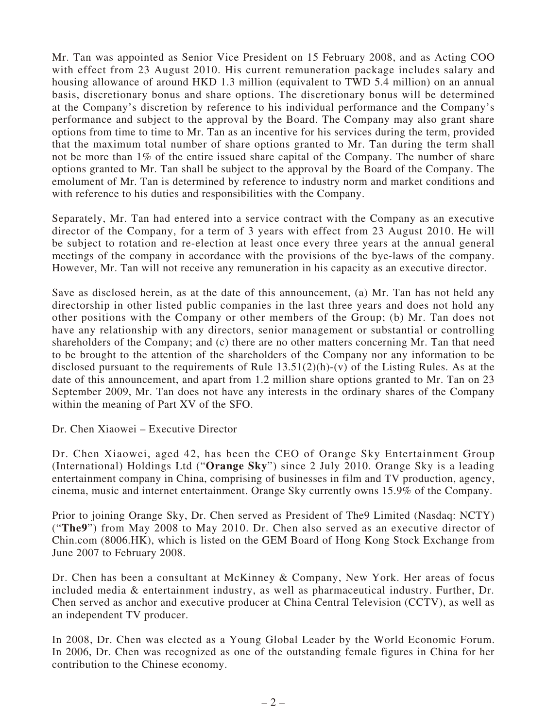Mr. Tan was appointed as Senior Vice President on 15 February 2008, and as Acting COO with effect from 23 August 2010. His current remuneration package includes salary and housing allowance of around HKD 1.3 million (equivalent to TWD 5.4 million) on an annual basis, discretionary bonus and share options. The discretionary bonus will be determined at the Company's discretion by reference to his individual performance and the Company's performance and subject to the approval by the Board. The Company may also grant share options from time to time to Mr. Tan as an incentive for his services during the term, provided that the maximum total number of share options granted to Mr. Tan during the term shall not be more than 1% of the entire issued share capital of the Company. The number of share options granted to Mr. Tan shall be subject to the approval by the Board of the Company. The emolument of Mr. Tan is determined by reference to industry norm and market conditions and with reference to his duties and responsibilities with the Company.

Separately, Mr. Tan had entered into a service contract with the Company as an executive director of the Company, for a term of 3 years with effect from 23 August 2010. He will be subject to rotation and re-election at least once every three years at the annual general meetings of the company in accordance with the provisions of the bye-laws of the company. However, Mr. Tan will not receive any remuneration in his capacity as an executive director.

Save as disclosed herein, as at the date of this announcement, (a) Mr. Tan has not held any directorship in other listed public companies in the last three years and does not hold any other positions with the Company or other members of the Group; (b) Mr. Tan does not have any relationship with any directors, senior management or substantial or controlling shareholders of the Company; and (c) there are no other matters concerning Mr. Tan that need to be brought to the attention of the shareholders of the Company nor any information to be disclosed pursuant to the requirements of Rule  $13.51(2)(h)$ -(v) of the Listing Rules. As at the date of this announcement, and apart from 1.2 million share options granted to Mr. Tan on 23 September 2009, Mr. Tan does not have any interests in the ordinary shares of the Company within the meaning of Part XV of the SFO.

Dr. Chen Xiaowei – Executive Director

Dr. Chen Xiaowei, aged 42, has been the CEO of Orange Sky Entertainment Group (International) Holdings Ltd ("**Orange Sky**") since 2 July 2010. Orange Sky is a leading entertainment company in China, comprising of businesses in film and TV production, agency, cinema, music and internet entertainment. Orange Sky currently owns 15.9% of the Company.

Prior to joining Orange Sky, Dr. Chen served as President of The9 Limited (Nasdaq: NCTY) ("**The9**") from May 2008 to May 2010. Dr. Chen also served as an executive director of Chin.com (8006.HK), which is listed on the GEM Board of Hong Kong Stock Exchange from June 2007 to February 2008.

Dr. Chen has been a consultant at McKinney & Company, New York. Her areas of focus included media & entertainment industry, as well as pharmaceutical industry. Further, Dr. Chen served as anchor and executive producer at China Central Television (CCTV), as well as an independent TV producer.

In 2008, Dr. Chen was elected as a Young Global Leader by the World Economic Forum. In 2006, Dr. Chen was recognized as one of the outstanding female figures in China for her contribution to the Chinese economy.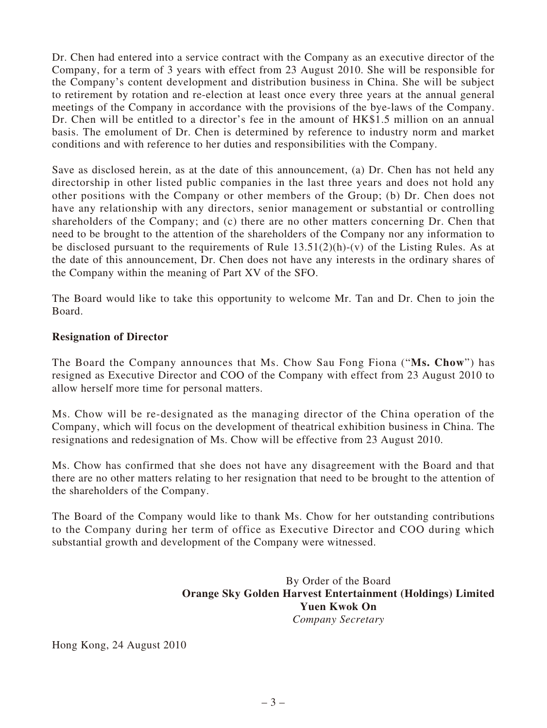Dr. Chen had entered into a service contract with the Company as an executive director of the Company, for a term of 3 years with effect from 23 August 2010. She will be responsible for the Company's content development and distribution business in China. She will be subject to retirement by rotation and re-election at least once every three years at the annual general meetings of the Company in accordance with the provisions of the bye-laws of the Company. Dr. Chen will be entitled to a director's fee in the amount of HK\$1.5 million on an annual basis. The emolument of Dr. Chen is determined by reference to industry norm and market conditions and with reference to her duties and responsibilities with the Company.

Save as disclosed herein, as at the date of this announcement, (a) Dr. Chen has not held any directorship in other listed public companies in the last three years and does not hold any other positions with the Company or other members of the Group; (b) Dr. Chen does not have any relationship with any directors, senior management or substantial or controlling shareholders of the Company; and (c) there are no other matters concerning Dr. Chen that need to be brought to the attention of the shareholders of the Company nor any information to be disclosed pursuant to the requirements of Rule  $13.51(2)(h)-(v)$  of the Listing Rules. As at the date of this announcement, Dr. Chen does not have any interests in the ordinary shares of the Company within the meaning of Part XV of the SFO.

The Board would like to take this opportunity to welcome Mr. Tan and Dr. Chen to join the Board.

## **Resignation of Director**

The Board the Company announces that Ms. Chow Sau Fong Fiona ("**Ms. Chow**") has resigned as Executive Director and COO of the Company with effect from 23 August 2010 to allow herself more time for personal matters.

Ms. Chow will be re-designated as the managing director of the China operation of the Company, which will focus on the development of theatrical exhibition business in China. The resignations and redesignation of Ms. Chow will be effective from 23 August 2010.

Ms. Chow has confirmed that she does not have any disagreement with the Board and that there are no other matters relating to her resignation that need to be brought to the attention of the shareholders of the Company.

The Board of the Company would like to thank Ms. Chow for her outstanding contributions to the Company during her term of office as Executive Director and COO during which substantial growth and development of the Company were witnessed.

## By Order of the Board **Orange Sky Golden Harvest Entertainment (Holdings) Limited Yuen Kwok On** *Company Secretary*

Hong Kong, 24 August 2010